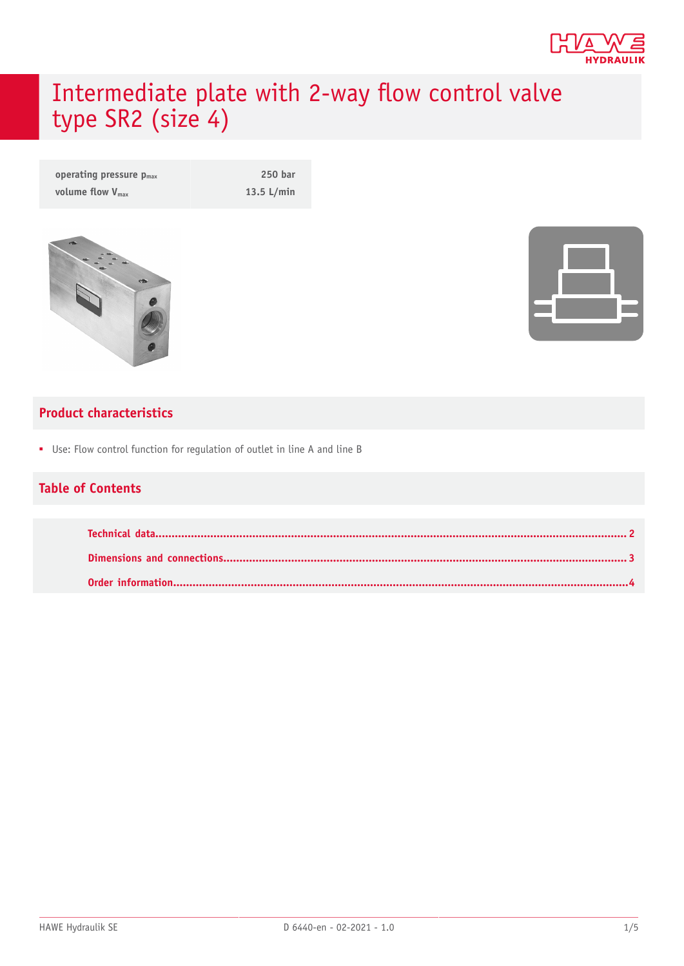

# Intermediate plate with 2-way flow control valve type SR2 (size 4)

| operating pressure $p_{max}$ | 250 bar      |
|------------------------------|--------------|
| volume flow $V_{\text{max}}$ | $13.5$ L/min |



#### **Product characteristics**

■ Use: Flow control function for regulation of outlet in line A and line B

#### **Table of Contents**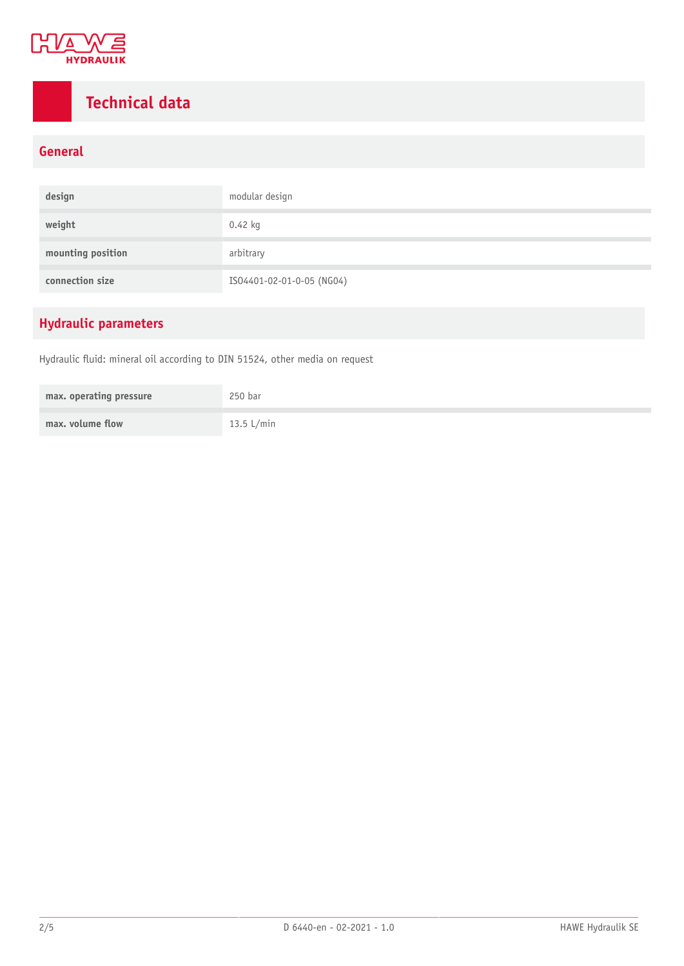

### <span id="page-1-0"></span>**Technical data**

#### **General**

| design            | modular design            |
|-------------------|---------------------------|
| weight            | 0.42 kg                   |
| mounting position | arbitrary                 |
| connection size   | ISO4401-02-01-0-05 (NG04) |

### **Hydraulic parameters**

Hydraulic fluid: mineral oil according to DIN 51524, other media on request

| max. operating pressure | 250 bar      |
|-------------------------|--------------|
| max. volume flow        | 13.5 $L/min$ |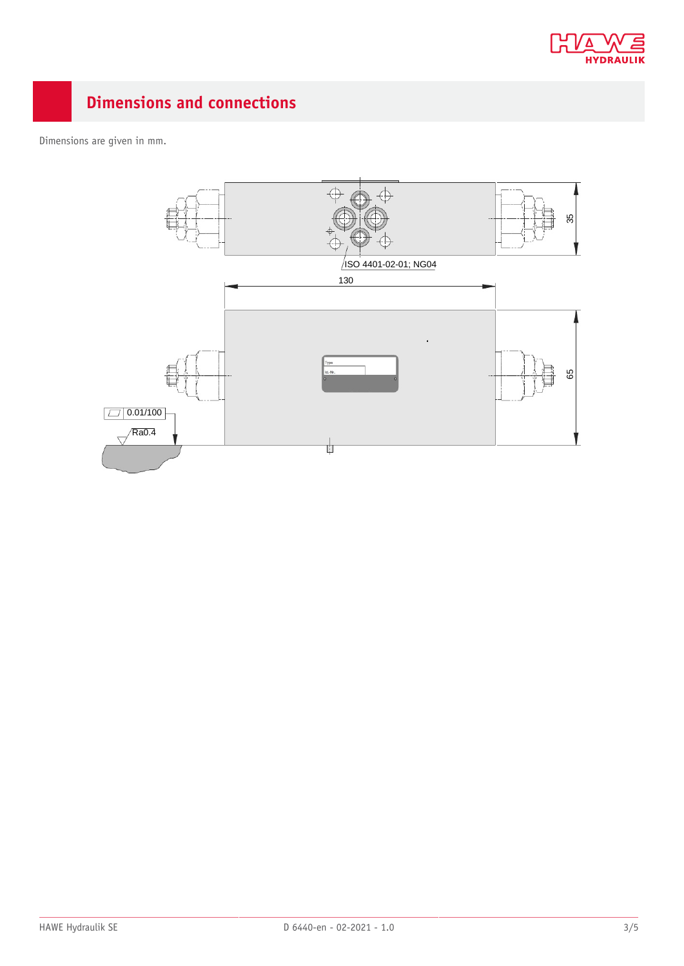

## <span id="page-2-0"></span>**Dimensions and connections**

Dimensions are given in mm.

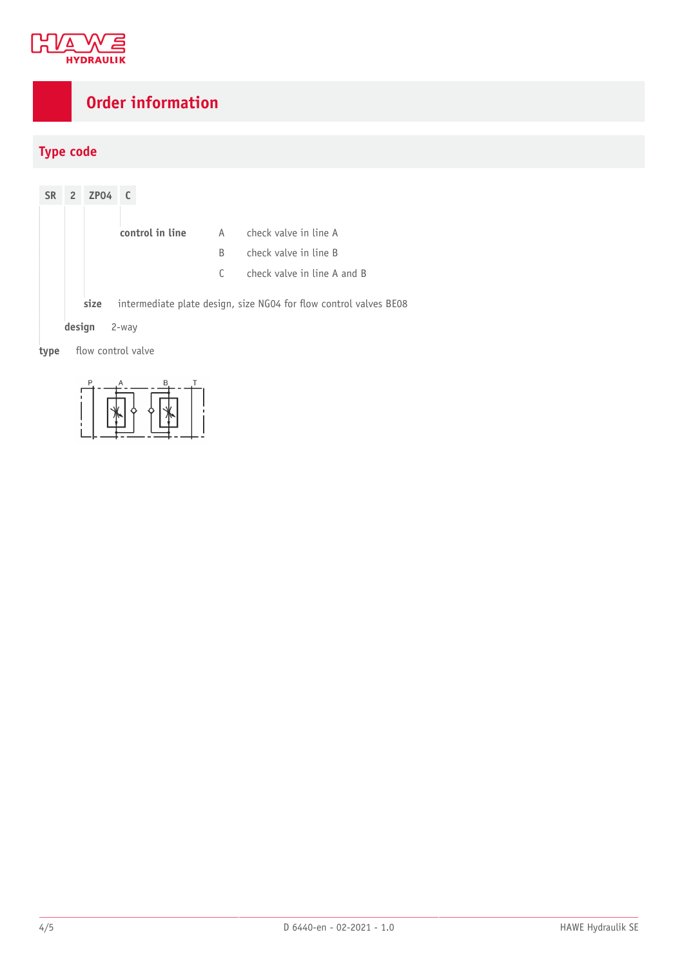

## <span id="page-3-0"></span>**Order information**

#### **Type code**